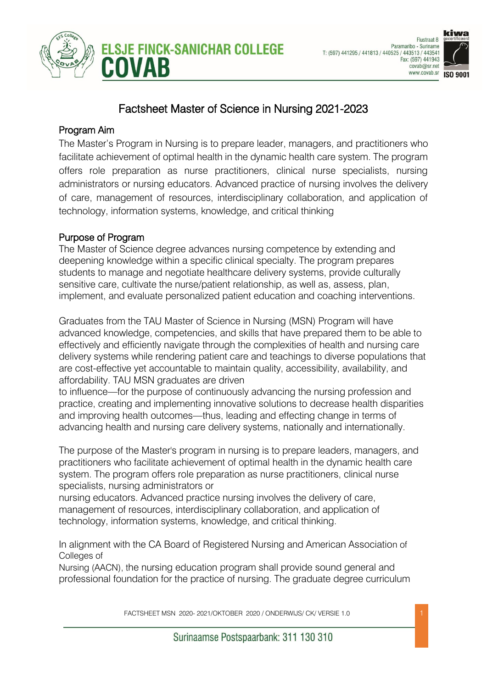



# Factsheet Master of Science in Nursing 2021-2023

### Program Aim

The Master's Program in Nursing is to prepare leader, managers, and practitioners who facilitate achievement of optimal health in the dynamic health care system. The program offers role preparation as nurse practitioners, clinical nurse specialists, nursing administrators or nursing educators. Advanced practice of nursing involves the delivery of care, management of resources, interdisciplinary collaboration, and application of technology, information systems, knowledge, and critical thinking

### Purpose of Program

The Master of Science degree advances nursing competence by extending and deepening knowledge within a specific clinical specialty. The program prepares students to manage and negotiate healthcare delivery systems, provide culturally sensitive care, cultivate the nurse/patient relationship, as well as, assess, plan, implement, and evaluate personalized patient education and coaching interventions.

Graduates from the TAU Master of Science in Nursing (MSN) Program will have advanced knowledge, competencies, and skills that have prepared them to be able to effectively and efficiently navigate through the complexities of health and nursing care delivery systems while rendering patient care and teachings to diverse populations that are cost-effective yet accountable to maintain quality, accessibility, availability, and affordability. TAU MSN graduates are driven

to influence—for the purpose of continuously advancing the nursing profession and practice, creating and implementing innovative solutions to decrease health disparities and improving health outcomes—thus, leading and effecting change in terms of advancing health and nursing care delivery systems, nationally and internationally.

The purpose of the Master's program in nursing is to prepare leaders, managers, and practitioners who facilitate achievement of optimal health in the dynamic health care system. The program offers role preparation as nurse practitioners, clinical nurse specialists, nursing administrators or

nursing educators. Advanced practice nursing involves the delivery of care, management of resources, interdisciplinary collaboration, and application of technology, information systems, knowledge, and critical thinking.

In alignment with the CA Board of Registered Nursing and American Association of Colleges of

Nursing (AACN), the nursing education program shall provide sound general and professional foundation for the practice of nursing. The graduate degree curriculum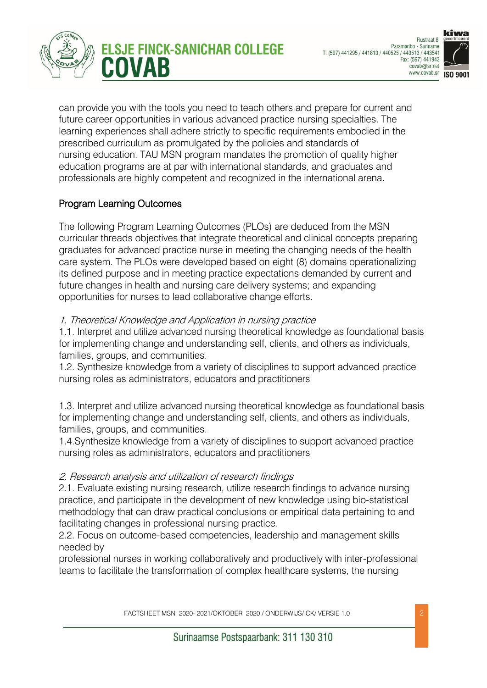



can provide you with the tools you need to teach others and prepare for current and future career opportunities in various advanced practice nursing specialties. The learning experiences shall adhere strictly to specific requirements embodied in the prescribed curriculum as promulgated by the policies and standards of nursing education. TAU MSN program mandates the promotion of quality higher education programs are at par with international standards, and graduates and professionals are highly competent and recognized in the international arena.

### Program Learning Outcomes

The following Program Learning Outcomes (PLOs) are deduced from the MSN curricular threads objectives that integrate theoretical and clinical concepts preparing graduates for advanced practice nurse in meeting the changing needs of the health care system. The PLOs were developed based on eight (8) domains operationalizing its defined purpose and in meeting practice expectations demanded by current and future changes in health and nursing care delivery systems; and expanding opportunities for nurses to lead collaborative change efforts.

#### 1. Theoretical Knowledge and Application in nursing practice

1.1. Interpret and utilize advanced nursing theoretical knowledge as foundational basis for implementing change and understanding self, clients, and others as individuals, families, groups, and communities.

1.2. Synthesize knowledge from a variety of disciplines to support advanced practice nursing roles as administrators, educators and practitioners

1.3. Interpret and utilize advanced nursing theoretical knowledge as foundational basis for implementing change and understanding self, clients, and others as individuals, families, groups, and communities.

1.4.Synthesize knowledge from a variety of disciplines to support advanced practice nursing roles as administrators, educators and practitioners

### 2. Research analysis and utilization of research findings

2.1. Evaluate existing nursing research, utilize research findings to advance nursing practice, and participate in the development of new knowledge using bio-statistical methodology that can draw practical conclusions or empirical data pertaining to and facilitating changes in professional nursing practice.

2.2. Focus on outcome-based competencies, leadership and management skills needed by

professional nurses in working collaboratively and productively with inter-professional teams to facilitate the transformation of complex healthcare systems, the nursing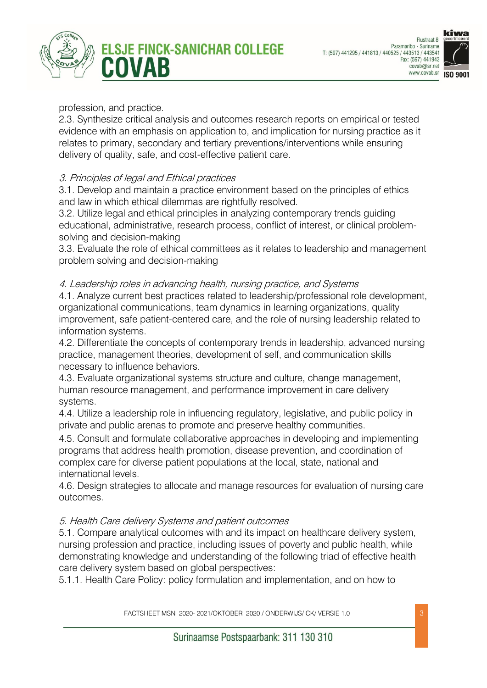





#### profession, and practice.

2.3. Synthesize critical analysis and outcomes research reports on empirical or tested evidence with an emphasis on application to, and implication for nursing practice as it relates to primary, secondary and tertiary preventions/interventions while ensuring delivery of quality, safe, and cost-effective patient care.

### 3. Principles of legal and Ethical practices

3.1. Develop and maintain a practice environment based on the principles of ethics and law in which ethical dilemmas are rightfully resolved.

3.2. Utilize legal and ethical principles in analyzing contemporary trends guiding educational, administrative, research process, conflict of interest, or clinical problemsolving and decision-making

3.3. Evaluate the role of ethical committees as it relates to leadership and management problem solving and decision-making

#### 4. Leadership roles in advancing health, nursing practice, and Systems

4.1. Analyze current best practices related to leadership/professional role development, organizational communications, team dynamics in learning organizations, quality improvement, safe patient-centered care, and the role of nursing leadership related to information systems.

4.2. Differentiate the concepts of contemporary trends in leadership, advanced nursing practice, management theories, development of self, and communication skills necessary to influence behaviors.

4.3. Evaluate organizational systems structure and culture, change management, human resource management, and performance improvement in care delivery systems.

4.4. Utilize a leadership role in influencing regulatory, legislative, and public policy in private and public arenas to promote and preserve healthy communities.

4.5. Consult and formulate collaborative approaches in developing and implementing programs that address health promotion, disease prevention, and coordination of complex care for diverse patient populations at the local, state, national and international levels.

4.6. Design strategies to allocate and manage resources for evaluation of nursing care outcomes.

#### 5. Health Care delivery Systems and patient outcomes

5.1. Compare analytical outcomes with and its impact on healthcare delivery system, nursing profession and practice, including issues of poverty and public health, while demonstrating knowledge and understanding of the following triad of effective health care delivery system based on global perspectives:

5.1.1. Health Care Policy: policy formulation and implementation, and on how to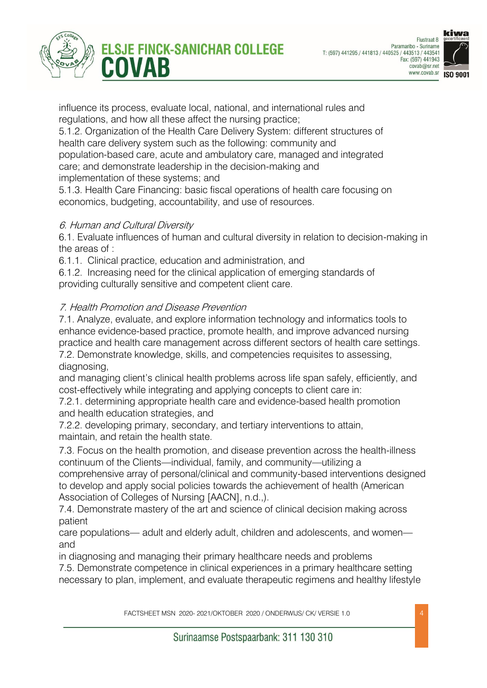





influence its process, evaluate local, national, and international rules and regulations, and how all these affect the nursing practice;

5.1.2. Organization of the Health Care Delivery System: different structures of health care delivery system such as the following: community and population-based care, acute and ambulatory care, managed and integrated care; and demonstrate leadership in the decision-making and implementation of these systems; and

5.1.3. Health Care Financing: basic fiscal operations of health care focusing on economics, budgeting, accountability, and use of resources.

### 6. Human and Cultural Diversity

6.1. Evaluate influences of human and cultural diversity in relation to decision-making in the areas of :

6.1.1. Clinical practice, education and administration, and

6.1.2. Increasing need for the clinical application of emerging standards of providing culturally sensitive and competent client care.

### 7. Health Promotion and Disease Prevention

7.1. Analyze, evaluate, and explore information technology and informatics tools to enhance evidence-based practice, promote health, and improve advanced nursing practice and health care management across different sectors of health care settings. 7.2. Demonstrate knowledge, skills, and competencies requisites to assessing, diagnosing,

and managing client's clinical health problems across life span safely, efficiently, and cost-effectively while integrating and applying concepts to client care in:

7.2.1. determining appropriate health care and evidence-based health promotion and health education strategies, and

7.2.2. developing primary, secondary, and tertiary interventions to attain, maintain, and retain the health state.

7.3. Focus on the health promotion, and disease prevention across the health-illness continuum of the Clients—individual, family, and community—utilizing a comprehensive array of personal/clinical and community-based interventions designed to develop and apply social policies towards the achievement of health (American Association of Colleges of Nursing [AACN], n.d.,).

7.4. Demonstrate mastery of the art and science of clinical decision making across patient

care populations— adult and elderly adult, children and adolescents, and women and

in diagnosing and managing their primary healthcare needs and problems

7.5. Demonstrate competence in clinical experiences in a primary healthcare setting necessary to plan, implement, and evaluate therapeutic regimens and healthy lifestyle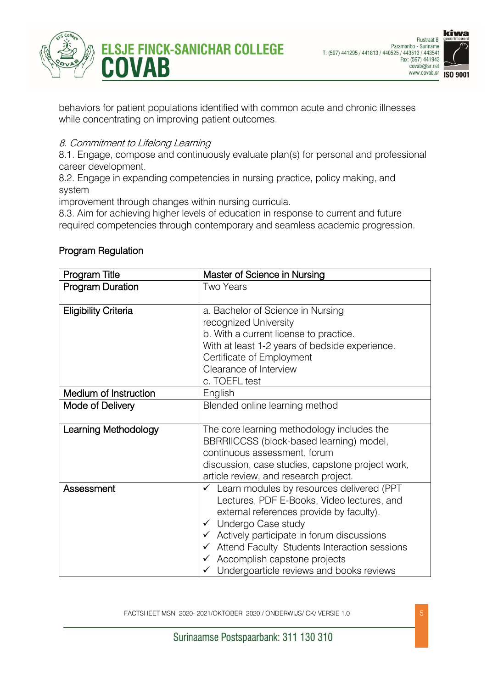



behaviors for patient populations identified with common acute and chronic illnesses while concentrating on improving patient outcomes.

### 8. Commitment to Lifelong Learning

8.1. Engage, compose and continuously evaluate plan(s) for personal and professional career development.

8.2. Engage in expanding competencies in nursing practice, policy making, and system

improvement through changes within nursing curricula.

8.3. Aim for achieving higher levels of education in response to current and future required competencies through contemporary and seamless academic progression.

| Program Title               | Master of Science in Nursing                                                                                                                                                                                                                                                                                                                                                                                           |  |  |  |
|-----------------------------|------------------------------------------------------------------------------------------------------------------------------------------------------------------------------------------------------------------------------------------------------------------------------------------------------------------------------------------------------------------------------------------------------------------------|--|--|--|
| <b>Program Duration</b>     | <b>Two Years</b>                                                                                                                                                                                                                                                                                                                                                                                                       |  |  |  |
| <b>Eligibility Criteria</b> | a. Bachelor of Science in Nursing<br>recognized University<br>b. With a current license to practice.<br>With at least 1-2 years of bedside experience.<br>Certificate of Employment<br>Clearance of Interview<br>c. TOEFL test                                                                                                                                                                                         |  |  |  |
| Medium of Instruction       | English                                                                                                                                                                                                                                                                                                                                                                                                                |  |  |  |
| Mode of Delivery            | Blended online learning method                                                                                                                                                                                                                                                                                                                                                                                         |  |  |  |
| <b>Learning Methodology</b> | The core learning methodology includes the<br>BBRRIICCSS (block-based learning) model,<br>continuous assessment, forum<br>discussion, case studies, capstone project work,<br>article review, and research project.                                                                                                                                                                                                    |  |  |  |
| Assessment                  | Learn modules by resources delivered (PPT<br>$\checkmark$<br>Lectures, PDF E-Books, Video lectures, and<br>external references provide by faculty).<br>$\checkmark$ Undergo Case study<br>$\checkmark$ Actively participate in forum discussions<br>Attend Faculty Students Interaction sessions<br>$\checkmark$<br>$\checkmark$ Accomplish capstone projects<br>$\checkmark$ Undergoarticle reviews and books reviews |  |  |  |

### Program Regulation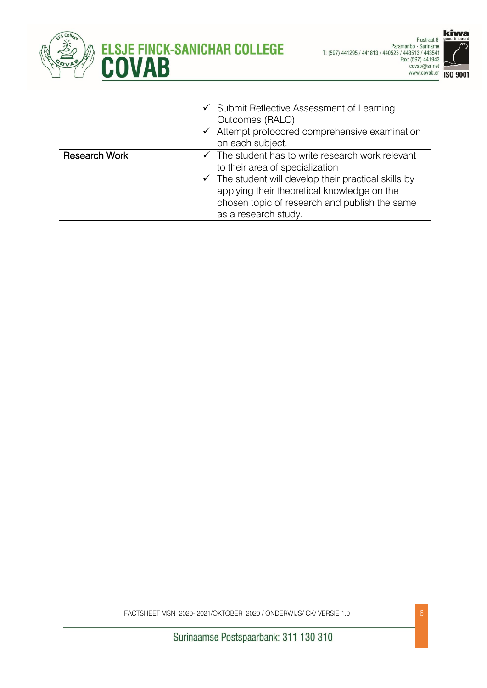



|                      | $\checkmark$ Submit Reflective Assessment of Learning<br>Outcomes (RALO)<br>Attempt protocored comprehensive examination<br>✓<br>on each subject.                                                                                                                                          |
|----------------------|--------------------------------------------------------------------------------------------------------------------------------------------------------------------------------------------------------------------------------------------------------------------------------------------|
| <b>Research Work</b> | $\checkmark$ The student has to write research work relevant<br>to their area of specialization<br>$\checkmark$ The student will develop their practical skills by<br>applying their theoretical knowledge on the<br>chosen topic of research and publish the same<br>as a research study. |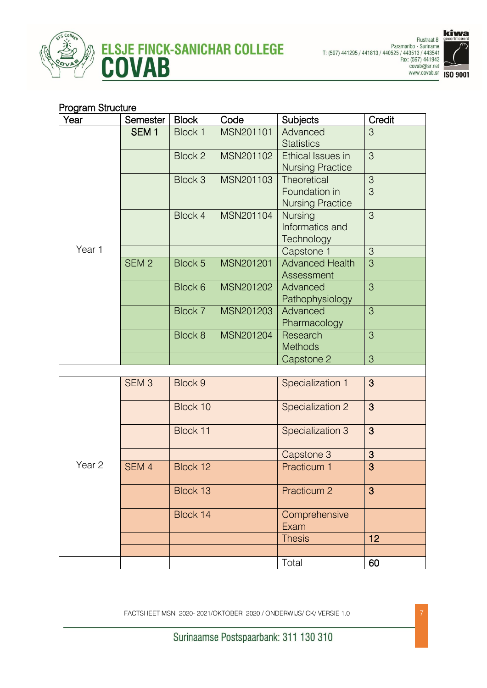





### Program Structure

| Year              | Semester         | <b>Block</b>   | Code      | <b>Subjects</b>         | Credit |
|-------------------|------------------|----------------|-----------|-------------------------|--------|
|                   | SEM <sub>1</sub> | Block 1        | MSN201101 | Advanced                | 3      |
|                   |                  |                |           | <b>Statistics</b>       |        |
|                   |                  | Block 2        | MSN201102 | Ethical Issues in       | 3      |
|                   |                  |                |           | <b>Nursing Practice</b> |        |
|                   |                  | Block 3        | MSN201103 | Theoretical             | 3      |
|                   |                  |                |           | Foundation in           | 3      |
|                   |                  |                |           | <b>Nursing Practice</b> |        |
|                   |                  | <b>Block 4</b> | MSN201104 | <b>Nursing</b>          | 3      |
|                   |                  |                |           | Informatics and         |        |
|                   |                  |                |           | Technology              |        |
| Year 1            |                  |                |           | Capstone 1              | 3      |
|                   | SEM <sub>2</sub> | Block 5        | MSN201201 | <b>Advanced Health</b>  | 3      |
|                   |                  |                |           | Assessment              |        |
|                   |                  | Block 6        | MSN201202 | Advanced                | 3      |
|                   |                  |                |           | Pathophysiology         |        |
|                   |                  | Block 7        | MSN201203 | Advanced                | 3      |
|                   |                  |                |           | Pharmacology            |        |
|                   |                  | Block 8        | MSN201204 | Research                | 3      |
|                   |                  |                |           | <b>Methods</b>          |        |
|                   |                  |                |           | Capstone 2              | 3      |
|                   | SEM <sub>3</sub> | Block 9        |           |                         | 3      |
|                   |                  |                |           | Specialization 1        |        |
| Year <sub>2</sub> |                  | Block 10       |           | Specialization 2        | 3      |
|                   |                  |                |           |                         |        |
|                   |                  | Block 11       |           | Specialization 3        | 3      |
|                   |                  |                |           |                         |        |
|                   |                  |                |           | Capstone 3              | 3      |
|                   | SEM <sub>4</sub> | Block 12       |           | <b>Practicum 1</b>      | 3      |
|                   |                  |                |           |                         |        |
|                   |                  | Block 13       |           | Practicum 2             | 3      |
|                   |                  |                |           |                         |        |
|                   |                  | Block 14       |           | Comprehensive           |        |
|                   |                  |                |           | Exam                    |        |
|                   |                  |                |           | <b>Thesis</b>           | 12     |
|                   |                  |                |           |                         |        |
|                   |                  |                |           | Total                   | 60     |